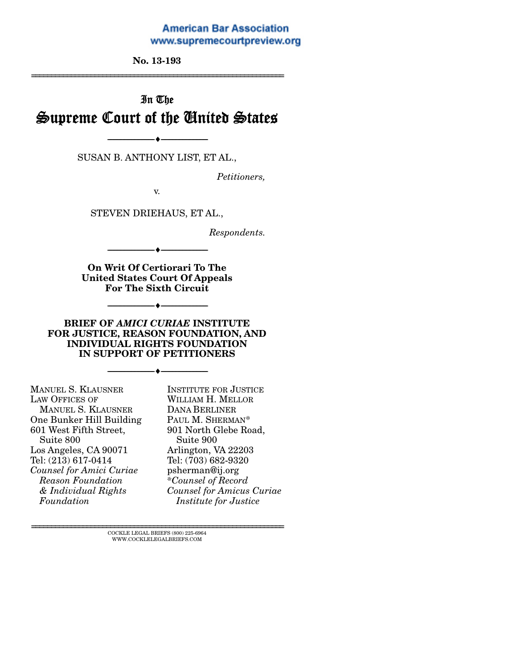#### **American Bar Association** www.supremecourtpreview.org

**No. 13-193** 

================================================================

# In The Supreme Court of the United States

SUSAN B. ANTHONY LIST, ET AL.,

--------------------------------- ---------------------------------

*Petitioners,* 

v.

STEVEN DRIEHAUS, ET AL.,

*Respondents.* 

**On Writ Of Certiorari To The United States Court Of Appeals For The Sixth Circuit** 

--------------------------------- ---------------------------------

--------------------------------- ---------------------------------

#### **BRIEF OF** *AMICI CURIAE* **INSTITUTE FOR JUSTICE, REASON FOUNDATION, AND INDIVIDUAL RIGHTS FOUNDATION IN SUPPORT OF PETITIONERS**

--------------------------------- ---------------------------------

| <b>MANUEL S. KLAUSNER</b> |
|---------------------------|
| <b>LAW OFFICES OF</b>     |
| <b>MANUEL S. KLAUSNER</b> |
| One Bunker Hill Building  |
| 601 West Fifth Street,    |
| Suite 800                 |
| Los Angeles, CA 90071     |
| Tel: (213) 617-0414       |
| Counsel for Amici Curiae  |
| <b>Reason Foundation</b>  |
| & Individual Rights       |
| Foundation                |

INSTITUTE FOR JUSTICE WILLIAM H. MELLOR DANA BERLINER PAUL M. SHERMAN\* 901 North Glebe Road, Suite 900 Arlington, VA 22203 Tel: (703) 682-9320 psherman@ij.org *\*Counsel of Record Counsel for Amicus Curiae Institute for Justice*

 $\textsc{COCKLE}$  LEGAL BRIEFS (800) 225-6964 WWW.COCKLELEGALBRIEFS.COM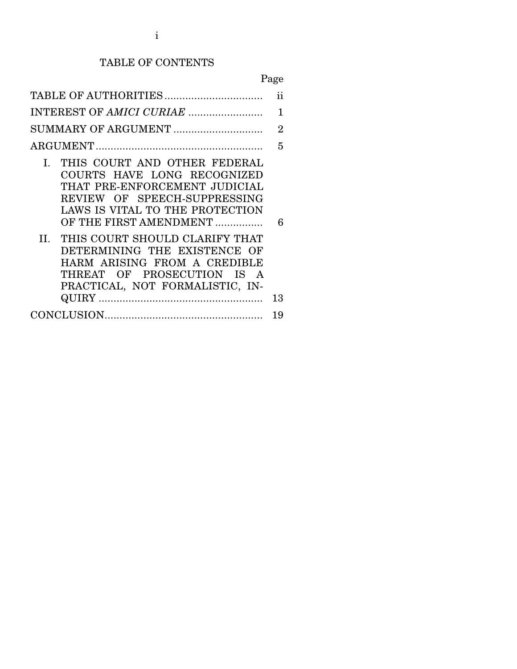# TABLE OF CONTENTS

# Page

|                                                                                                                                                                                                                                                                                                                                                                     | ii      |  |  |
|---------------------------------------------------------------------------------------------------------------------------------------------------------------------------------------------------------------------------------------------------------------------------------------------------------------------------------------------------------------------|---------|--|--|
|                                                                                                                                                                                                                                                                                                                                                                     |         |  |  |
| SUMMARY OF ARGUMENT                                                                                                                                                                                                                                                                                                                                                 |         |  |  |
|                                                                                                                                                                                                                                                                                                                                                                     | 5       |  |  |
| I. THIS COURT AND OTHER FEDERAL<br>COURTS HAVE LONG RECOGNIZED<br>THAT PRE-ENFORCEMENT JUDICIAL<br>REVIEW OF SPEECH-SUPPRESSING<br>LAWS IS VITAL TO THE PROTECTION<br>OF THE FIRST AMENDMENT<br>II. THIS COURT SHOULD CLARIFY THAT<br>DETERMINING THE EXISTENCE OF<br>HARM ARISING FROM A CREDIBLE<br>THREAT OF PROSECUTION IS A<br>PRACTICAL, NOT FORMALISTIC, IN- | 6<br>13 |  |  |
|                                                                                                                                                                                                                                                                                                                                                                     | 19      |  |  |
|                                                                                                                                                                                                                                                                                                                                                                     |         |  |  |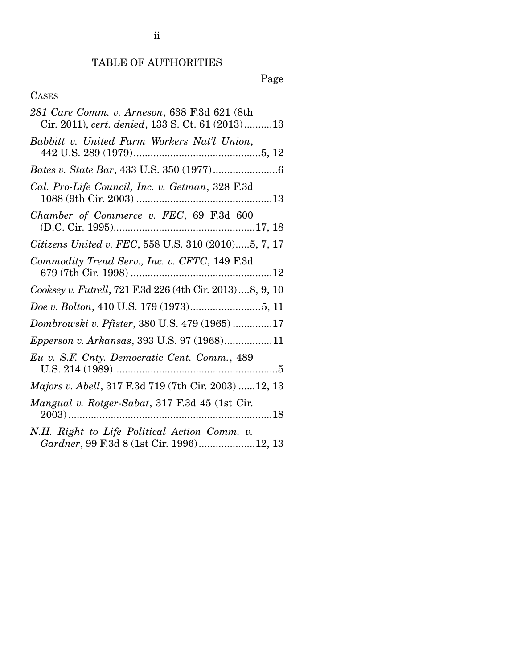# TABLE OF AUTHORITIES

Page

## CASES

| 281 Care Comm. v. Arneson, 638 F.3d 621 (8th<br>Cir. 2011), cert. denied, 133 S. Ct. 61 (2013)13 |
|--------------------------------------------------------------------------------------------------|
| Babbitt v. United Farm Workers Nat'l Union,                                                      |
|                                                                                                  |
| Cal. Pro-Life Council, Inc. v. Getman, 328 F.3d                                                  |
| Chamber of Commerce v. FEC, 69 F.3d 600                                                          |
| Citizens United v. FEC, 558 U.S. 310 (2010)5, 7, 17                                              |
| Commodity Trend Serv., Inc. v. CFTC, 149 F.3d                                                    |
| Cooksey v. Futrell, 721 F.3d 226 (4th Cir. 2013)8, 9, 10                                         |
|                                                                                                  |
| Dombrowski v. Pfister, 380 U.S. 479 (1965) 17                                                    |
| Epperson v. Arkansas, 393 U.S. 97 (1968)11                                                       |
| Eu v. S.F. Cnty. Democratic Cent. Comm., 489                                                     |
| Majors v. Abell, 317 F.3d 719 (7th Cir. 2003) 12, 13                                             |
| Mangual v. Rotger-Sabat, 317 F.3d 45 (1st Cir.                                                   |
| N.H. Right to Life Political Action Comm. v.<br>Gardner, 99 F.3d 8 (1st Cir. 1996)12, 13         |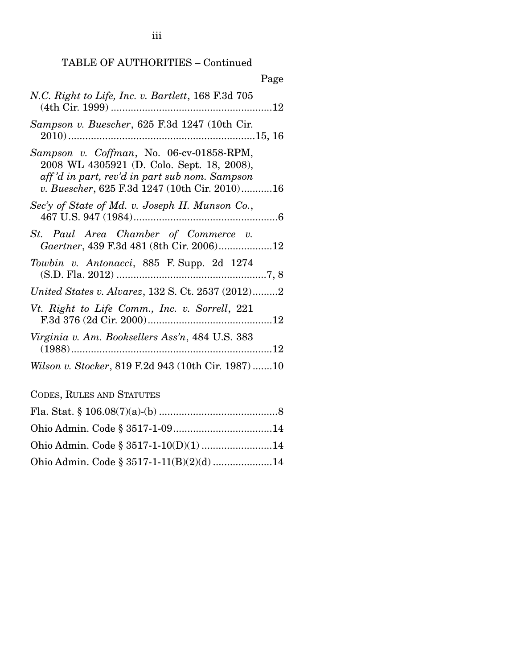TABLE OF AUTHORITIES – Continued

iii

| Page                                                                                                                                                                                     |
|------------------------------------------------------------------------------------------------------------------------------------------------------------------------------------------|
| N.C. Right to Life, Inc. v. Bartlett, 168 F.3d 705                                                                                                                                       |
| Sampson v. Buescher, 625 F.3d 1247 (10th Cir.                                                                                                                                            |
| Sampson v. Coffman, No. 06-cv-01858-RPM,<br>2008 WL 4305921 (D. Colo. Sept. 18, 2008),<br>aff'd in part, rev'd in part sub nom. Sampson<br>v. Buescher, 625 F.3d 1247 (10th Cir. 2010)16 |
| Sec'y of State of Md. v. Joseph H. Munson Co.,                                                                                                                                           |
| St. Paul Area Chamber of Commerce v.<br>Gaertner, 439 F.3d 481 (8th Cir. 2006)12                                                                                                         |
| Towbin v. Antonacci, 885 F. Supp. 2d 1274                                                                                                                                                |
| United States v. Alvarez, 132 S. Ct. 2537 (2012)2                                                                                                                                        |
| Vt. Right to Life Comm., Inc. v. Sorrell, 221                                                                                                                                            |
| Virginia v. Am. Booksellers Ass'n, 484 U.S. 383                                                                                                                                          |
| Wilson v. Stocker, 819 F.2d 943 (10th Cir. 1987)10                                                                                                                                       |

CODES, RULES AND STATUTES

| Ohio Admin. Code § 3517-1-11(B)(2)(d) 14 |  |
|------------------------------------------|--|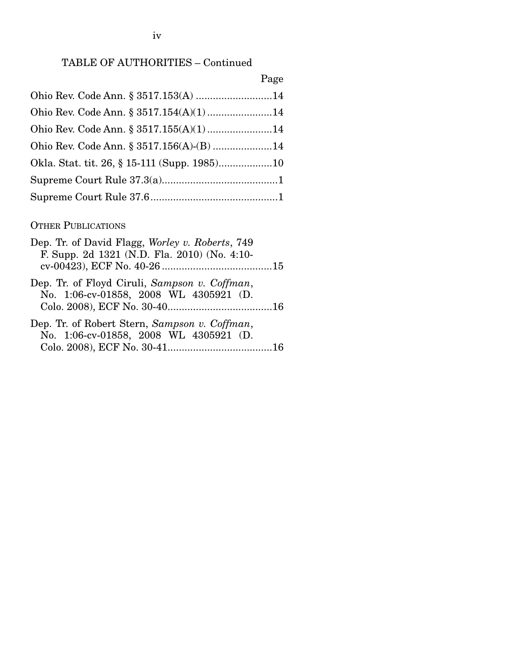### TABLE OF AUTHORITIES – Continued

# Page

| Ohio Rev. Code Ann. § 3517.153(A) 14     |  |
|------------------------------------------|--|
| Ohio Rev. Code Ann. § 3517.154(A)(1)14   |  |
| Ohio Rev. Code Ann. § 3517.155(A)(1)14   |  |
| Ohio Rev. Code Ann. § 3517.156(A)-(B) 14 |  |
|                                          |  |
|                                          |  |
|                                          |  |

# OTHER PUBLICATIONS

| Dep. Tr. of David Flagg, Worley v. Roberts, 749<br>F. Supp. 2d 1321 (N.D. Fla. 2010) (No. 4:10- |  |
|-------------------------------------------------------------------------------------------------|--|
|                                                                                                 |  |
| Dep. Tr. of Floyd Ciruli, Sampson v. Coffman,                                                   |  |
| No. 1:06-cv-01858, 2008 WL 4305921 (D.                                                          |  |
|                                                                                                 |  |
| Dep. Tr. of Robert Stern, Sampson v. Coffman,                                                   |  |
| No. 1:06-cv-01858, 2008 WL 4305921 (D.                                                          |  |
|                                                                                                 |  |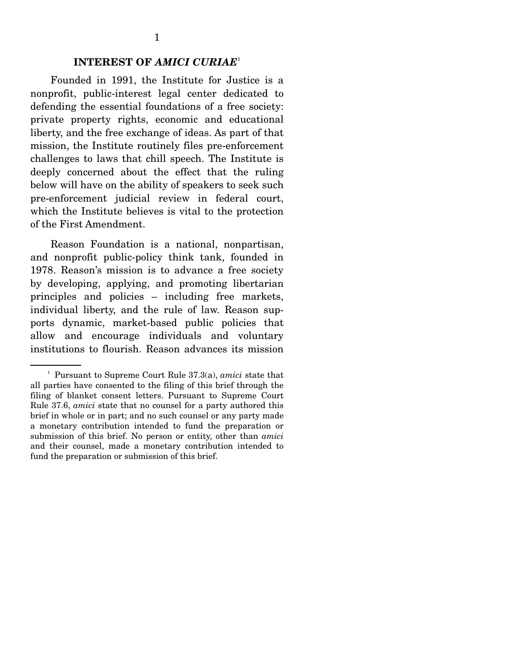## **INTEREST OF** *AMICI CURIAE*<sup>1</sup>

 Founded in 1991, the Institute for Justice is a nonprofit, public-interest legal center dedicated to defending the essential foundations of a free society: private property rights, economic and educational liberty, and the free exchange of ideas. As part of that mission, the Institute routinely files pre-enforcement challenges to laws that chill speech. The Institute is deeply concerned about the effect that the ruling below will have on the ability of speakers to seek such pre-enforcement judicial review in federal court, which the Institute believes is vital to the protection of the First Amendment.

 Reason Foundation is a national, nonpartisan, and nonprofit public-policy think tank, founded in 1978. Reason's mission is to advance a free society by developing, applying, and promoting libertarian principles and policies – including free markets, individual liberty, and the rule of law. Reason supports dynamic, market-based public policies that allow and encourage individuals and voluntary institutions to flourish. Reason advances its mission

<sup>1</sup> Pursuant to Supreme Court Rule 37.3(a), *amici* state that all parties have consented to the filing of this brief through the filing of blanket consent letters. Pursuant to Supreme Court Rule 37.6, *amici* state that no counsel for a party authored this brief in whole or in part; and no such counsel or any party made a monetary contribution intended to fund the preparation or submission of this brief. No person or entity, other than *amici*  and their counsel, made a monetary contribution intended to fund the preparation or submission of this brief.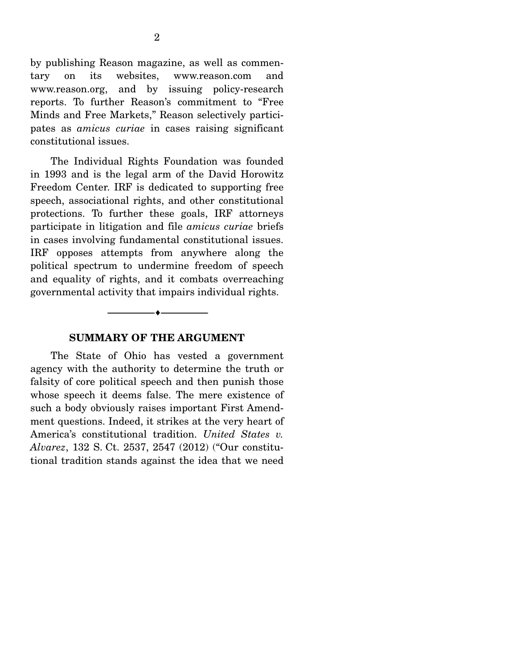by publishing Reason magazine, as well as commentary on its websites, www.reason.com and www.reason.org, and by issuing policy-research reports. To further Reason's commitment to "Free Minds and Free Markets," Reason selectively participates as *amicus curiae* in cases raising significant constitutional issues.

 The Individual Rights Foundation was founded in 1993 and is the legal arm of the David Horowitz Freedom Center. IRF is dedicated to supporting free speech, associational rights, and other constitutional protections. To further these goals, IRF attorneys participate in litigation and file *amicus curiae* briefs in cases involving fundamental constitutional issues. IRF opposes attempts from anywhere along the political spectrum to undermine freedom of speech and equality of rights, and it combats overreaching governmental activity that impairs individual rights.

#### **SUMMARY OF THE ARGUMENT**

--------------------------------- ---------------------------------

 The State of Ohio has vested a government agency with the authority to determine the truth or falsity of core political speech and then punish those whose speech it deems false. The mere existence of such a body obviously raises important First Amendment questions. Indeed, it strikes at the very heart of America's constitutional tradition. *United States v. Alvarez*, 132 S. Ct. 2537, 2547 (2012) ("Our constitutional tradition stands against the idea that we need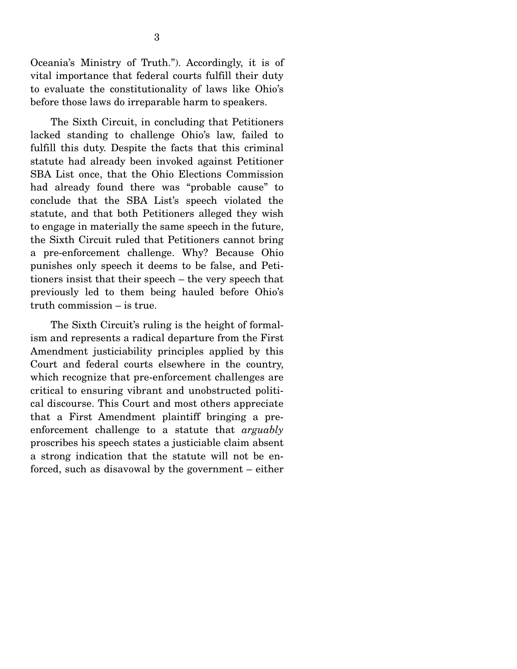Oceania's Ministry of Truth."). Accordingly, it is of vital importance that federal courts fulfill their duty to evaluate the constitutionality of laws like Ohio's before those laws do irreparable harm to speakers.

 The Sixth Circuit, in concluding that Petitioners lacked standing to challenge Ohio's law, failed to fulfill this duty. Despite the facts that this criminal statute had already been invoked against Petitioner SBA List once, that the Ohio Elections Commission had already found there was "probable cause" to conclude that the SBA List's speech violated the statute, and that both Petitioners alleged they wish to engage in materially the same speech in the future, the Sixth Circuit ruled that Petitioners cannot bring a pre-enforcement challenge. Why? Because Ohio punishes only speech it deems to be false, and Petitioners insist that their speech – the very speech that previously led to them being hauled before Ohio's truth commission – is true.

 The Sixth Circuit's ruling is the height of formalism and represents a radical departure from the First Amendment justiciability principles applied by this Court and federal courts elsewhere in the country, which recognize that pre-enforcement challenges are critical to ensuring vibrant and unobstructed political discourse. This Court and most others appreciate that a First Amendment plaintiff bringing a preenforcement challenge to a statute that *arguably* proscribes his speech states a justiciable claim absent a strong indication that the statute will not be enforced, such as disavowal by the government – either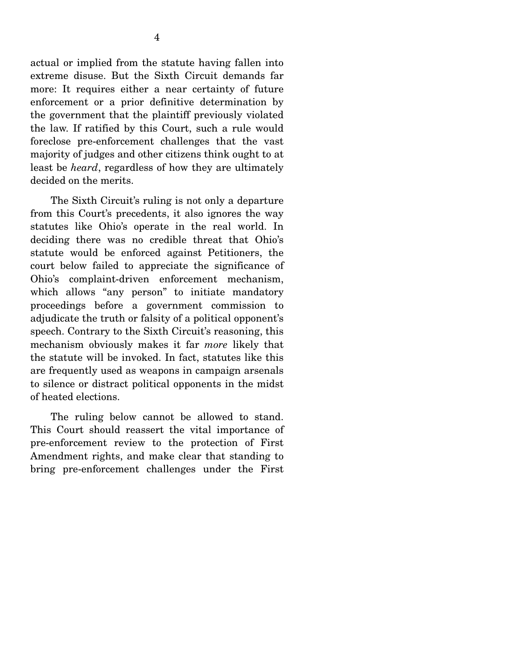actual or implied from the statute having fallen into extreme disuse. But the Sixth Circuit demands far more: It requires either a near certainty of future enforcement or a prior definitive determination by the government that the plaintiff previously violated the law. If ratified by this Court, such a rule would foreclose pre-enforcement challenges that the vast majority of judges and other citizens think ought to at least be *heard*, regardless of how they are ultimately

decided on the merits.

 The Sixth Circuit's ruling is not only a departure from this Court's precedents, it also ignores the way statutes like Ohio's operate in the real world. In deciding there was no credible threat that Ohio's statute would be enforced against Petitioners, the court below failed to appreciate the significance of Ohio's complaint-driven enforcement mechanism, which allows "any person" to initiate mandatory proceedings before a government commission to adjudicate the truth or falsity of a political opponent's speech. Contrary to the Sixth Circuit's reasoning, this mechanism obviously makes it far *more* likely that the statute will be invoked. In fact, statutes like this are frequently used as weapons in campaign arsenals to silence or distract political opponents in the midst of heated elections.

 The ruling below cannot be allowed to stand. This Court should reassert the vital importance of pre-enforcement review to the protection of First Amendment rights, and make clear that standing to bring pre-enforcement challenges under the First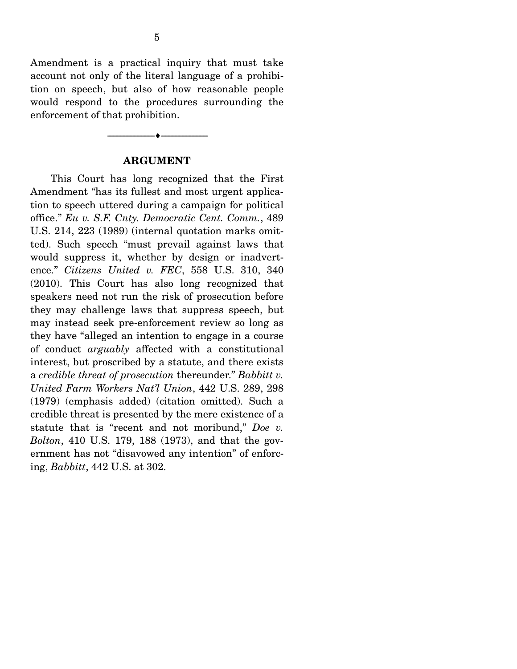Amendment is a practical inquiry that must take account not only of the literal language of a prohibition on speech, but also of how reasonable people would respond to the procedures surrounding the enforcement of that prohibition.

#### **ARGUMENT**

--------------------------------- ---------------------------------

 This Court has long recognized that the First Amendment "has its fullest and most urgent application to speech uttered during a campaign for political office." *Eu v. S.F. Cnty. Democratic Cent. Comm.*, 489 U.S. 214, 223 (1989) (internal quotation marks omitted). Such speech "must prevail against laws that would suppress it, whether by design or inadvertence." *Citizens United v. FEC*, 558 U.S. 310, 340 (2010). This Court has also long recognized that speakers need not run the risk of prosecution before they may challenge laws that suppress speech, but may instead seek pre-enforcement review so long as they have "alleged an intention to engage in a course of conduct *arguably* affected with a constitutional interest, but proscribed by a statute, and there exists a *credible threat of prosecution* thereunder." *Babbitt v. United Farm Workers Nat'l Union*, 442 U.S. 289, 298 (1979) (emphasis added) (citation omitted). Such a credible threat is presented by the mere existence of a statute that is "recent and not moribund," *Doe v. Bolton*, 410 U.S. 179, 188 (1973), and that the government has not "disavowed any intention" of enforcing, *Babbitt*, 442 U.S. at 302.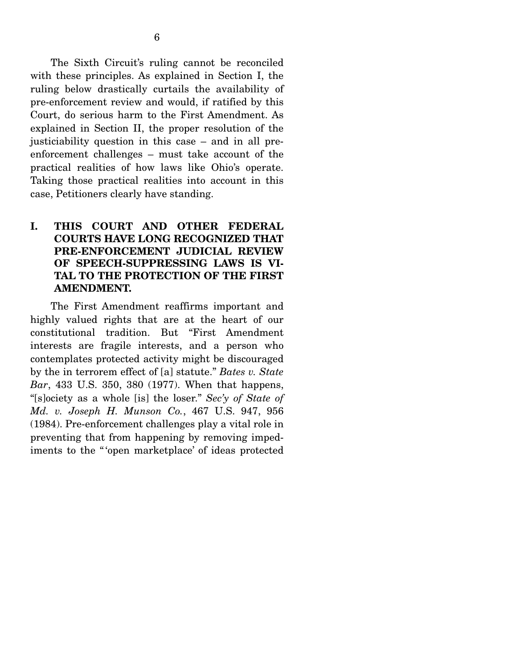The Sixth Circuit's ruling cannot be reconciled with these principles. As explained in Section I, the ruling below drastically curtails the availability of pre-enforcement review and would, if ratified by this Court, do serious harm to the First Amendment. As explained in Section II, the proper resolution of the justiciability question in this case – and in all preenforcement challenges – must take account of the practical realities of how laws like Ohio's operate. Taking those practical realities into account in this case, Petitioners clearly have standing.

### **I. THIS COURT AND OTHER FEDERAL COURTS HAVE LONG RECOGNIZED THAT PRE-ENFORCEMENT JUDICIAL REVIEW OF SPEECH-SUPPRESSING LAWS IS VI-TAL TO THE PROTECTION OF THE FIRST AMENDMENT.**

 The First Amendment reaffirms important and highly valued rights that are at the heart of our constitutional tradition. But "First Amendment interests are fragile interests, and a person who contemplates protected activity might be discouraged by the in terrorem effect of [a] statute." *Bates v. State Bar*, 433 U.S. 350, 380 (1977). When that happens, "[s]ociety as a whole [is] the loser." *Sec'y of State of Md. v. Joseph H. Munson Co.*, 467 U.S. 947, 956 (1984). Pre-enforcement challenges play a vital role in preventing that from happening by removing impediments to the "'open marketplace' of ideas protected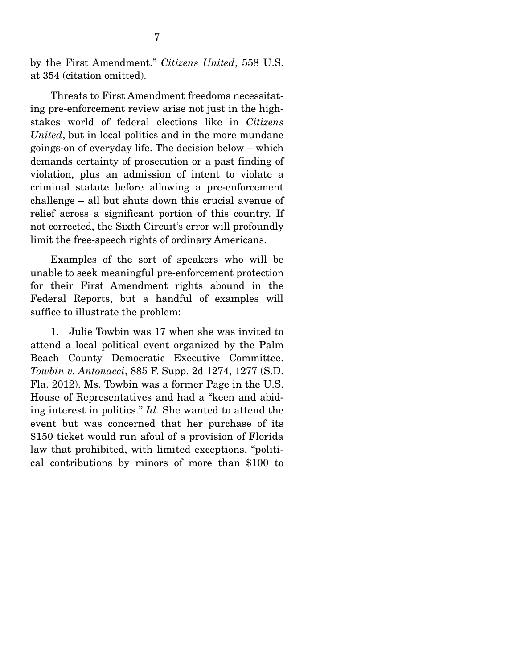by the First Amendment." *Citizens United*, 558 U.S. at 354 (citation omitted).

 Threats to First Amendment freedoms necessitating pre-enforcement review arise not just in the highstakes world of federal elections like in *Citizens United*, but in local politics and in the more mundane goings-on of everyday life. The decision below – which demands certainty of prosecution or a past finding of violation, plus an admission of intent to violate a criminal statute before allowing a pre-enforcement challenge – all but shuts down this crucial avenue of relief across a significant portion of this country. If not corrected, the Sixth Circuit's error will profoundly limit the free-speech rights of ordinary Americans.

 Examples of the sort of speakers who will be unable to seek meaningful pre-enforcement protection for their First Amendment rights abound in the Federal Reports, but a handful of examples will suffice to illustrate the problem:

 1. Julie Towbin was 17 when she was invited to attend a local political event organized by the Palm Beach County Democratic Executive Committee. *Towbin v. Antonacci*, 885 F. Supp. 2d 1274, 1277 (S.D. Fla. 2012). Ms. Towbin was a former Page in the U.S. House of Representatives and had a "keen and abiding interest in politics." *Id.* She wanted to attend the event but was concerned that her purchase of its \$150 ticket would run afoul of a provision of Florida law that prohibited, with limited exceptions, "political contributions by minors of more than \$100 to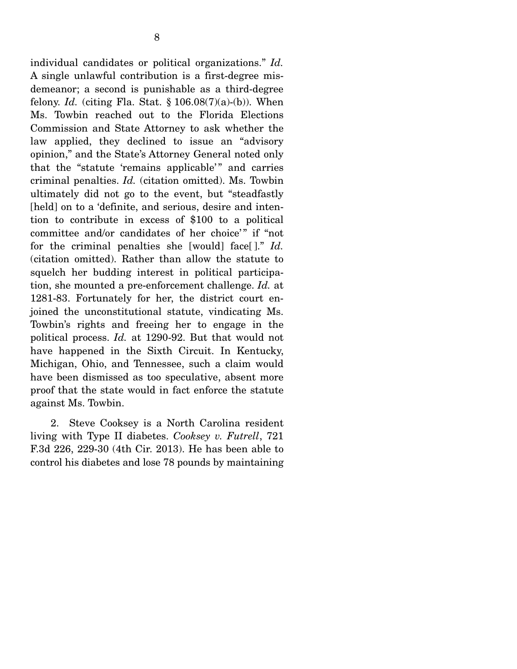individual candidates or political organizations." *Id.*  A single unlawful contribution is a first-degree misdemeanor; a second is punishable as a third-degree felony. *Id.* (citing Fla. Stat.  $\S 106.08(7)(a)-(b)$ ). When Ms. Towbin reached out to the Florida Elections Commission and State Attorney to ask whether the law applied, they declined to issue an "advisory opinion," and the State's Attorney General noted only that the "statute 'remains applicable'" and carries criminal penalties. *Id.* (citation omitted). Ms. Towbin ultimately did not go to the event, but "steadfastly [held] on to a 'definite, and serious, desire and intention to contribute in excess of \$100 to a political committee and/or candidates of her choice'" if "not for the criminal penalties she [would] face[ ]." *Id.* (citation omitted). Rather than allow the statute to squelch her budding interest in political participation, she mounted a pre-enforcement challenge. *Id.* at 1281-83. Fortunately for her, the district court enjoined the unconstitutional statute, vindicating Ms. Towbin's rights and freeing her to engage in the political process. *Id.* at 1290-92. But that would not have happened in the Sixth Circuit. In Kentucky, Michigan, Ohio, and Tennessee, such a claim would have been dismissed as too speculative, absent more proof that the state would in fact enforce the statute against Ms. Towbin.

 2. Steve Cooksey is a North Carolina resident living with Type II diabetes. *Cooksey v. Futrell*, 721 F.3d 226, 229-30 (4th Cir. 2013). He has been able to control his diabetes and lose 78 pounds by maintaining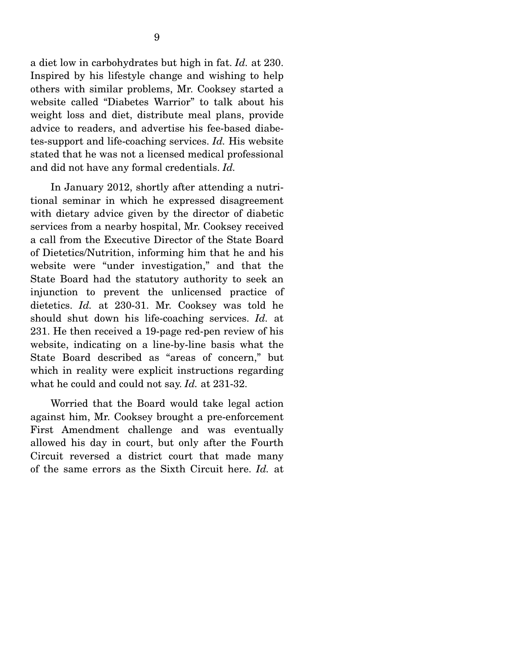a diet low in carbohydrates but high in fat. *Id.* at 230. Inspired by his lifestyle change and wishing to help others with similar problems, Mr. Cooksey started a website called "Diabetes Warrior" to talk about his weight loss and diet, distribute meal plans, provide advice to readers, and advertise his fee-based diabetes-support and life-coaching services. *Id.* His website stated that he was not a licensed medical professional and did not have any formal credentials. *Id.*

 In January 2012, shortly after attending a nutritional seminar in which he expressed disagreement with dietary advice given by the director of diabetic services from a nearby hospital, Mr. Cooksey received a call from the Executive Director of the State Board of Dietetics/Nutrition, informing him that he and his website were "under investigation," and that the State Board had the statutory authority to seek an injunction to prevent the unlicensed practice of dietetics. *Id.* at 230-31. Mr. Cooksey was told he should shut down his life-coaching services. *Id.* at 231. He then received a 19-page red-pen review of his website, indicating on a line-by-line basis what the State Board described as "areas of concern," but which in reality were explicit instructions regarding what he could and could not say. *Id.* at 231-32.

 Worried that the Board would take legal action against him, Mr. Cooksey brought a pre-enforcement First Amendment challenge and was eventually allowed his day in court, but only after the Fourth Circuit reversed a district court that made many of the same errors as the Sixth Circuit here. *Id.* at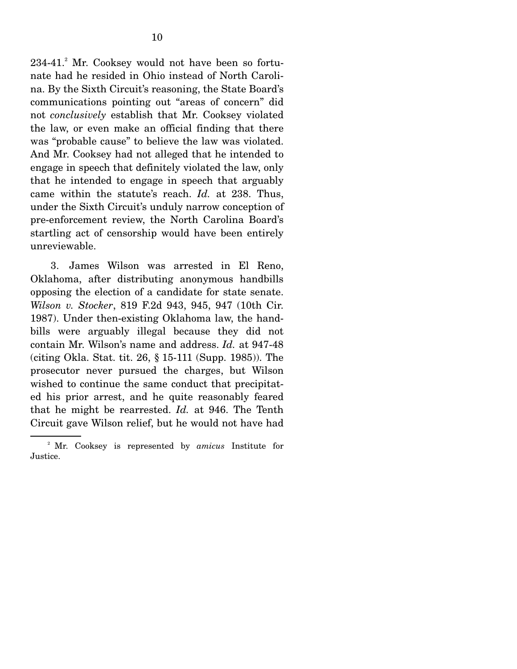234-41.<sup>2</sup> Mr. Cooksey would not have been so fortunate had he resided in Ohio instead of North Carolina. By the Sixth Circuit's reasoning, the State Board's communications pointing out "areas of concern" did not *conclusively* establish that Mr. Cooksey violated the law, or even make an official finding that there was "probable cause" to believe the law was violated. And Mr. Cooksey had not alleged that he intended to engage in speech that definitely violated the law, only that he intended to engage in speech that arguably came within the statute's reach. *Id.* at 238. Thus, under the Sixth Circuit's unduly narrow conception of pre-enforcement review, the North Carolina Board's startling act of censorship would have been entirely unreviewable.

 3. James Wilson was arrested in El Reno, Oklahoma, after distributing anonymous handbills opposing the election of a candidate for state senate. *Wilson v. Stocker*, 819 F.2d 943, 945, 947 (10th Cir. 1987). Under then-existing Oklahoma law, the handbills were arguably illegal because they did not contain Mr. Wilson's name and address. *Id.* at 947-48 (citing Okla. Stat. tit. 26, § 15-111 (Supp. 1985)). The prosecutor never pursued the charges, but Wilson wished to continue the same conduct that precipitated his prior arrest, and he quite reasonably feared that he might be rearrested. *Id.* at 946. The Tenth Circuit gave Wilson relief, but he would not have had

<sup>2</sup> Mr. Cooksey is represented by *amicus* Institute for Justice.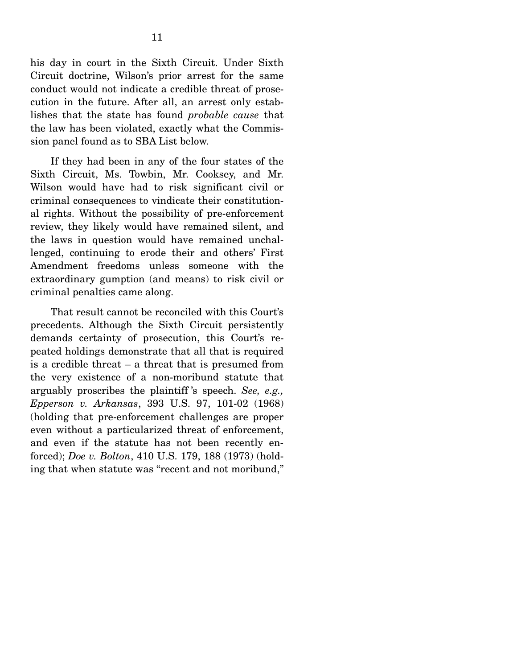his day in court in the Sixth Circuit. Under Sixth Circuit doctrine, Wilson's prior arrest for the same conduct would not indicate a credible threat of prosecution in the future. After all, an arrest only establishes that the state has found *probable cause* that the law has been violated, exactly what the Commission panel found as to SBA List below.

 If they had been in any of the four states of the Sixth Circuit, Ms. Towbin, Mr. Cooksey, and Mr. Wilson would have had to risk significant civil or criminal consequences to vindicate their constitutional rights. Without the possibility of pre-enforcement review, they likely would have remained silent, and the laws in question would have remained unchallenged, continuing to erode their and others' First Amendment freedoms unless someone with the extraordinary gumption (and means) to risk civil or criminal penalties came along.

 That result cannot be reconciled with this Court's precedents. Although the Sixth Circuit persistently demands certainty of prosecution, this Court's repeated holdings demonstrate that all that is required is a credible threat – a threat that is presumed from the very existence of a non-moribund statute that arguably proscribes the plaintiff 's speech. *See, e.g., Epperson v. Arkansas*, 393 U.S. 97, 101-02 (1968) (holding that pre-enforcement challenges are proper even without a particularized threat of enforcement, and even if the statute has not been recently enforced); *Doe v. Bolton*, 410 U.S. 179, 188 (1973) (holding that when statute was "recent and not moribund,"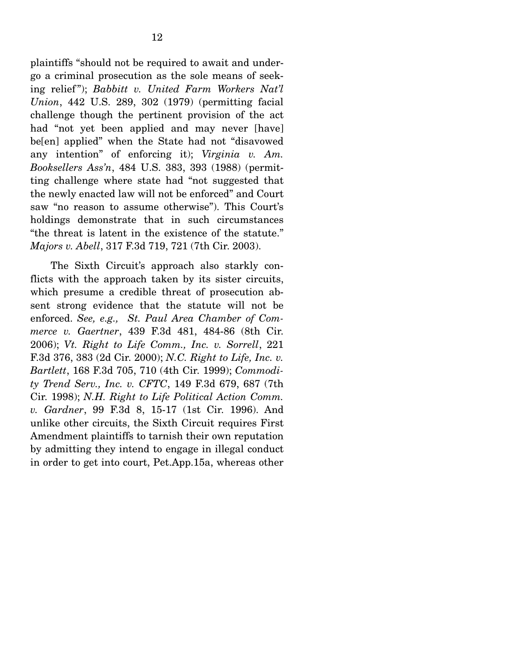plaintiffs "should not be required to await and undergo a criminal prosecution as the sole means of seeking relief "); *Babbitt v. United Farm Workers Nat'l Union*, 442 U.S. 289, 302 (1979) (permitting facial challenge though the pertinent provision of the act had "not yet been applied and may never [have] be[en] applied" when the State had not "disavowed any intention" of enforcing it); *Virginia v. Am. Booksellers Ass'n*, 484 U.S. 383, 393 (1988) (permitting challenge where state had "not suggested that the newly enacted law will not be enforced" and Court saw "no reason to assume otherwise"). This Court's holdings demonstrate that in such circumstances "the threat is latent in the existence of the statute." *Majors v. Abell*, 317 F.3d 719, 721 (7th Cir. 2003).

 The Sixth Circuit's approach also starkly conflicts with the approach taken by its sister circuits, which presume a credible threat of prosecution absent strong evidence that the statute will not be enforced. *See, e.g., St. Paul Area Chamber of Commerce v. Gaertner*, 439 F.3d 481, 484-86 (8th Cir. 2006); *Vt. Right to Life Comm., Inc. v. Sorrell*, 221 F.3d 376, 383 (2d Cir. 2000); *N.C. Right to Life, Inc. v. Bartlett*, 168 F.3d 705, 710 (4th Cir. 1999); *Commodity Trend Serv., Inc. v. CFTC*, 149 F.3d 679, 687 (7th Cir. 1998); *N.H. Right to Life Political Action Comm. v. Gardner*, 99 F.3d 8, 15-17 (1st Cir. 1996). And unlike other circuits, the Sixth Circuit requires First Amendment plaintiffs to tarnish their own reputation by admitting they intend to engage in illegal conduct in order to get into court, Pet.App.15a, whereas other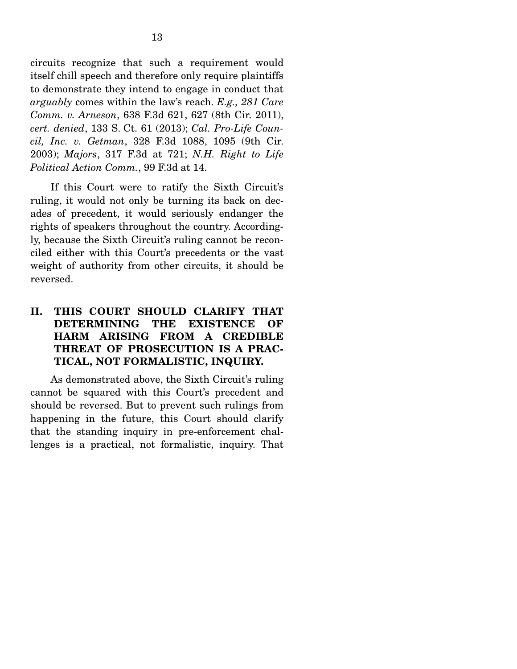circuits recognize that such a requirement would itself chill speech and therefore only require plaintiffs to demonstrate they intend to engage in conduct that *arguably* comes within the law's reach. *E.g., 281 Care Comm. v. Arneson*, 638 F.3d 621, 627 (8th Cir. 2011), *cert. denied*, 133 S. Ct. 61 (2013); *Cal. Pro-Life Council, Inc. v. Getman*, 328 F.3d 1088, 1095 (9th Cir. 2003); *Majors*, 317 F.3d at 721; *N.H. Right to Life Political Action Comm.*, 99 F.3d at 14.

 If this Court were to ratify the Sixth Circuit's ruling, it would not only be turning its back on decades of precedent, it would seriously endanger the rights of speakers throughout the country. Accordingly, because the Sixth Circuit's ruling cannot be reconciled either with this Court's precedents or the vast weight of authority from other circuits, it should be reversed.

## **II. THIS COURT SHOULD CLARIFY THAT DETERMINING THE EXISTENCE OF HARM ARISING FROM A CREDIBLE THREAT OF PROSECUTION IS A PRAC-TICAL, NOT FORMALISTIC, INQUIRY.**

 As demonstrated above, the Sixth Circuit's ruling cannot be squared with this Court's precedent and should be reversed. But to prevent such rulings from happening in the future, this Court should clarify that the standing inquiry in pre-enforcement challenges is a practical, not formalistic, inquiry. That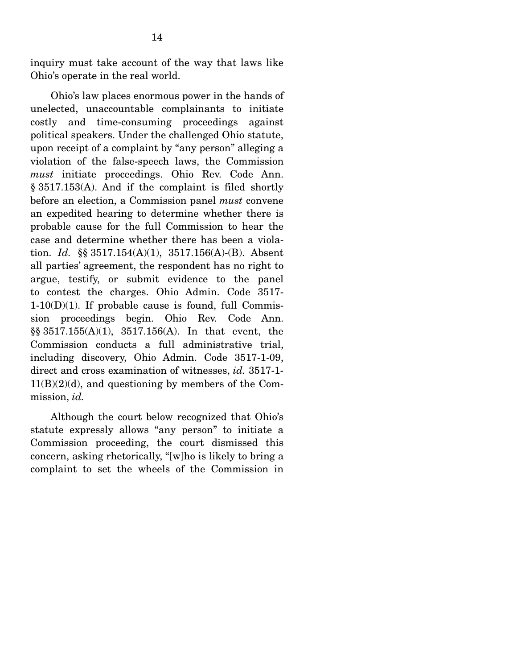inquiry must take account of the way that laws like Ohio's operate in the real world.

 Ohio's law places enormous power in the hands of unelected, unaccountable complainants to initiate costly and time-consuming proceedings against political speakers. Under the challenged Ohio statute, upon receipt of a complaint by "any person" alleging a violation of the false-speech laws, the Commission *must* initiate proceedings. Ohio Rev. Code Ann. § 3517.153(A). And if the complaint is filed shortly before an election, a Commission panel *must* convene an expedited hearing to determine whether there is probable cause for the full Commission to hear the case and determine whether there has been a violation. *Id.* §§ 3517.154(A)(1), 3517.156(A)-(B). Absent all parties' agreement, the respondent has no right to argue, testify, or submit evidence to the panel to contest the charges. Ohio Admin. Code 3517-  $1-10(D)(1)$ . If probable cause is found, full Commission proceedings begin. Ohio Rev. Code Ann. §§ 3517.155(A)(1), 3517.156(A). In that event, the Commission conducts a full administrative trial, including discovery, Ohio Admin. Code 3517-1-09, direct and cross examination of witnesses, *id.* 3517-1-  $11(B)(2)(d)$ , and questioning by members of the Commission, *id.*

 Although the court below recognized that Ohio's statute expressly allows "any person" to initiate a Commission proceeding, the court dismissed this concern, asking rhetorically, "[w]ho is likely to bring a complaint to set the wheels of the Commission in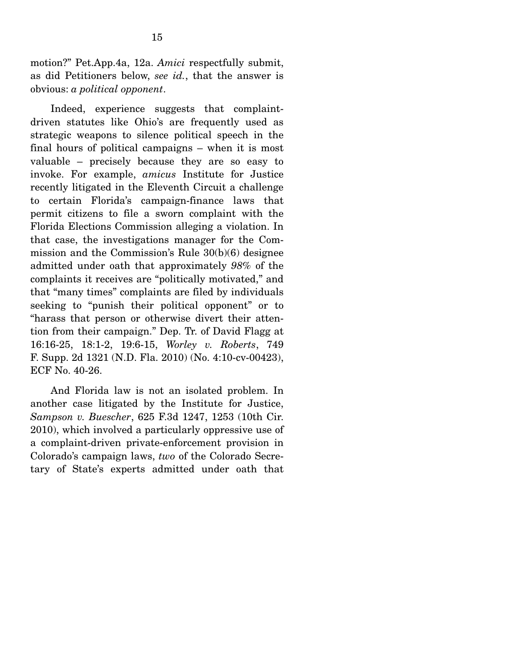motion?" Pet.App.4a, 12a. *Amici* respectfully submit, as did Petitioners below, *see id.*, that the answer is obvious: *a political opponent*.

 Indeed, experience suggests that complaintdriven statutes like Ohio's are frequently used as strategic weapons to silence political speech in the final hours of political campaigns – when it is most valuable – precisely because they are so easy to invoke. For example, *amicus* Institute for Justice recently litigated in the Eleventh Circuit a challenge to certain Florida's campaign-finance laws that permit citizens to file a sworn complaint with the Florida Elections Commission alleging a violation. In that case, the investigations manager for the Commission and the Commission's Rule 30(b)(6) designee admitted under oath that approximately *98%* of the complaints it receives are "politically motivated," and that "many times" complaints are filed by individuals seeking to "punish their political opponent" or to "harass that person or otherwise divert their attention from their campaign." Dep. Tr. of David Flagg at 16:16-25, 18:1-2, 19:6-15, *Worley v. Roberts*, 749 F. Supp. 2d 1321 (N.D. Fla. 2010) (No. 4:10-cv-00423), ECF No. 40-26.

 And Florida law is not an isolated problem. In another case litigated by the Institute for Justice, *Sampson v. Buescher*, 625 F.3d 1247, 1253 (10th Cir. 2010), which involved a particularly oppressive use of a complaint-driven private-enforcement provision in Colorado's campaign laws, *two* of the Colorado Secretary of State's experts admitted under oath that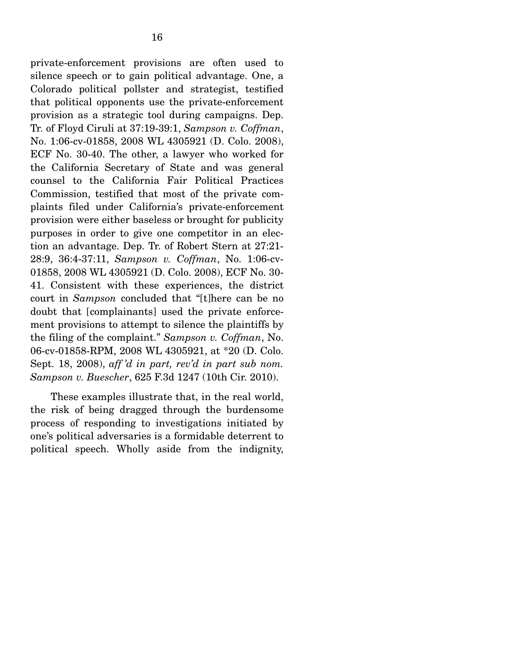private-enforcement provisions are often used to silence speech or to gain political advantage. One, a Colorado political pollster and strategist, testified that political opponents use the private-enforcement provision as a strategic tool during campaigns. Dep. Tr. of Floyd Ciruli at 37:19-39:1, *Sampson v. Coffman*, No. 1:06-cv-01858, 2008 WL 4305921 (D. Colo. 2008), ECF No. 30-40. The other, a lawyer who worked for the California Secretary of State and was general counsel to the California Fair Political Practices Commission, testified that most of the private complaints filed under California's private-enforcement provision were either baseless or brought for publicity purposes in order to give one competitor in an election an advantage. Dep. Tr. of Robert Stern at 27:21- 28:9, 36:4-37:11, *Sampson v. Coffman*, No. 1:06-cv-01858, 2008 WL 4305921 (D. Colo. 2008), ECF No. 30- 41. Consistent with these experiences, the district court in *Sampson* concluded that "[t]here can be no doubt that [complainants] used the private enforcement provisions to attempt to silence the plaintiffs by the filing of the complaint." *Sampson v. Coffman*, No. 06-cv-01858-RPM, 2008 WL 4305921, at \*20 (D. Colo. Sept. 18, 2008), *aff 'd in part, rev'd in part sub nom. Sampson v. Buescher*, 625 F.3d 1247 (10th Cir. 2010).

 These examples illustrate that, in the real world, the risk of being dragged through the burdensome process of responding to investigations initiated by one's political adversaries is a formidable deterrent to political speech. Wholly aside from the indignity,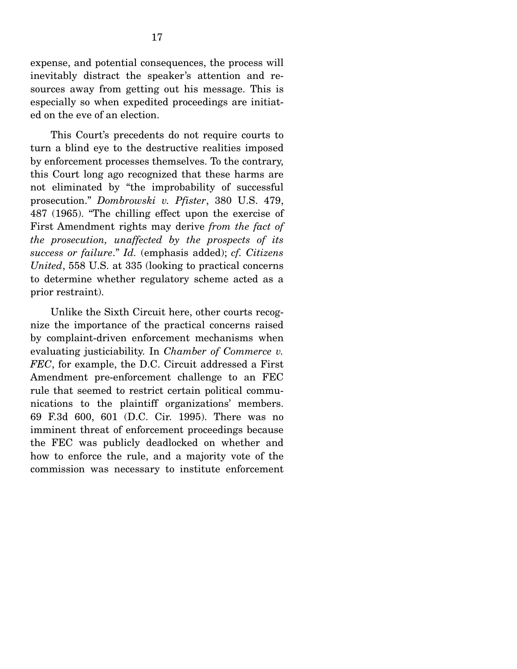expense, and potential consequences, the process will inevitably distract the speaker's attention and resources away from getting out his message. This is especially so when expedited proceedings are initiated on the eve of an election.

 This Court's precedents do not require courts to turn a blind eye to the destructive realities imposed by enforcement processes themselves. To the contrary, this Court long ago recognized that these harms are not eliminated by "the improbability of successful prosecution." *Dombrowski v. Pfister*, 380 U.S. 479, 487 (1965). "The chilling effect upon the exercise of First Amendment rights may derive *from the fact of the prosecution, unaffected by the prospects of its success or failure*." *Id.* (emphasis added); *cf. Citizens United*, 558 U.S. at 335 (looking to practical concerns to determine whether regulatory scheme acted as a prior restraint).

 Unlike the Sixth Circuit here, other courts recognize the importance of the practical concerns raised by complaint-driven enforcement mechanisms when evaluating justiciability. In *Chamber of Commerce v. FEC*, for example, the D.C. Circuit addressed a First Amendment pre-enforcement challenge to an FEC rule that seemed to restrict certain political communications to the plaintiff organizations' members. 69 F.3d 600, 601 (D.C. Cir. 1995). There was no imminent threat of enforcement proceedings because the FEC was publicly deadlocked on whether and how to enforce the rule, and a majority vote of the commission was necessary to institute enforcement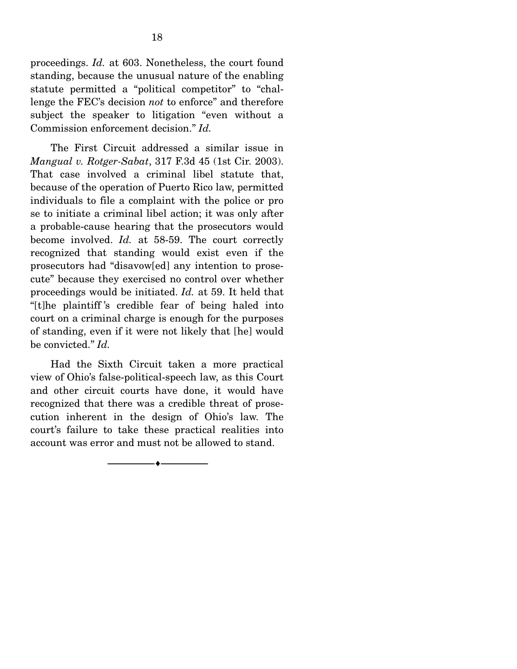proceedings. *Id.* at 603. Nonetheless, the court found standing, because the unusual nature of the enabling statute permitted a "political competitor" to "challenge the FEC's decision *not* to enforce" and therefore subject the speaker to litigation "even without a Commission enforcement decision." *Id.*

 The First Circuit addressed a similar issue in *Mangual v. Rotger-Sabat*, 317 F.3d 45 (1st Cir. 2003). That case involved a criminal libel statute that, because of the operation of Puerto Rico law, permitted individuals to file a complaint with the police or pro se to initiate a criminal libel action; it was only after a probable-cause hearing that the prosecutors would become involved. *Id.* at 58-59. The court correctly recognized that standing would exist even if the prosecutors had "disavow[ed] any intention to prosecute" because they exercised no control over whether proceedings would be initiated. *Id.* at 59. It held that "[t]he plaintiff 's credible fear of being haled into court on a criminal charge is enough for the purposes of standing, even if it were not likely that [he] would be convicted." *Id.*

 Had the Sixth Circuit taken a more practical view of Ohio's false-political-speech law, as this Court and other circuit courts have done, it would have recognized that there was a credible threat of prosecution inherent in the design of Ohio's law. The court's failure to take these practical realities into account was error and must not be allowed to stand.

--------------------------------- ---------------------------------